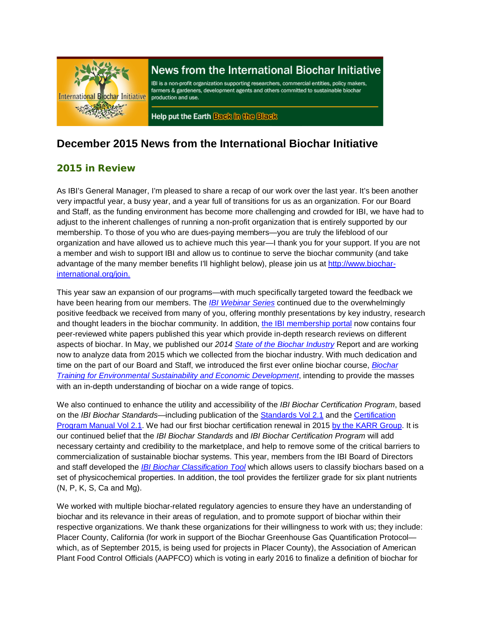

# News from the International Biochar Initiative

IBI is a non-profit organization supporting researchers, commercial entities, policy makers, farmers & gardeners, development agents and others committed to sustainable biochar production and use.

Help put the Earth Back in the Black

## **December 2015 News from the International Biochar Initiative**

### 2015 in Review

As IBI's General Manager, I'm pleased to share a recap of our work over the last year. It's been another very impactful year, a busy year, and a year full of transitions for us as an organization. For our Board and Staff, as the funding environment has become more challenging and crowded for IBI, we have had to adjust to the inherent challenges of running a non-profit organization that is entirely supported by our membership. To those of you who are dues-paying members—you are truly the lifeblood of our organization and have allowed us to achieve much this year—I thank you for your support. If you are not a member and wish to support IBI and allow us to continue to serve the biochar community (and take advantage of the many member benefits I'll highlight below), please join us at [http://www.biochar](http://www.biochar-international.org/join)[international.org/join.](http://www.biochar-international.org/join)

This year saw an expansion of our programs—with much specifically targeted toward the feedback we have been hearing from our members. The *[IBI Webinar Series](http://www.biochar-international.org/webinar_series)* continued due to the overwhelmingly positive feedback we received from many of you, offering monthly presentations by key industry, research and thought leaders in the biochar community. In addition, the [IBI membership portal](https://ibi.memberclicks.net/login) now contains four peer-reviewed white papers published this year which provide in-depth research reviews on different aspects of biochar. In May, we published our *2014 [State of the Biochar Industry](http://www.biochar-international.org/State_of_industry_2014)* Report and are working now to analyze data from 2015 which we collected from the biochar industry. With much dedication and time on the part of our Board and Staff, we introduced the first ever online biochar course, *[Biochar](http://www.biochar-international.org/online_course)  [Training for Environmental Sustainability and Economic Development](http://www.biochar-international.org/online_course)*, intending to provide the masses with an in-depth understanding of biochar on a wide range of topics.

We also continued to enhance the utility and accessibility of the *IBI Biochar Certification Program*, based on the *IBI Biochar Standards*—including publication of the [Standards Vol 2.1](http://www.biochar-international.org/characterizationstandard) and the [Certification](http://www.biochar-international.org/certification)  Program [Manual Vol 2.1.](http://www.biochar-international.org/certification) We had our first biochar certification renewal in 2015 [by the KARR Group.](http://www.biochar-international.org/certification/manufacturer_directory) It is our continued belief that the *IBI Biochar Standards* and *IBI Biochar Certification Program* will add necessary certainty and credibility to the marketplace, and help to remove some of the critical barriers to commercialization of sustainable biochar systems. This year, members from the IBI Board of Directors and staff developed the *[IBI Biochar Classification Tool](http://www.biochar-international.org/classification_tool)* which allows users to classify biochars based on a set of physicochemical properties. In addition, the tool provides the fertilizer grade for six plant nutrients (N, P, K, S, Ca and Mg).

We worked with multiple biochar-related regulatory agencies to ensure they have an understanding of biochar and its relevance in their areas of regulation, and to promote support of biochar within their respective organizations. We thank these organizations for their willingness to work with us; they include: Placer County, California (for work in support of the Biochar Greenhouse Gas Quantification Protocol which, as of September 2015, is being used for projects in Placer County), the Association of American Plant Food Control Officials (AAPFCO) which is voting in early 2016 to finalize a definition of biochar for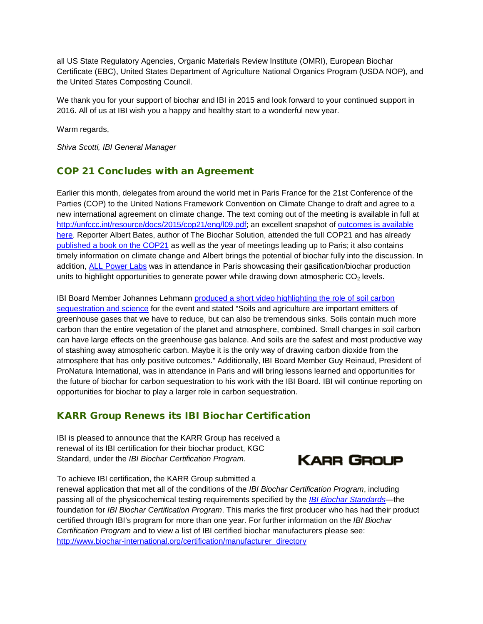all US State Regulatory Agencies, Organic Materials Review Institute (OMRI), European Biochar Certificate (EBC), United States Department of Agriculture National Organics Program (USDA NOP), and the United States Composting Council.

We thank you for your support of biochar and IBI in 2015 and look forward to your continued support in 2016. All of us at IBI wish you a happy and healthy start to a wonderful new year.

Warm regards,

*Shiva Scotti, IBI General Manager*

#### COP 21 Concludes with an Agreement

Earlier this month, delegates from around the world met in Paris France for the 21st Conference of the Parties (COP) to the United Nations Framework Convention on Climate Change to draft and agree to a new international agreement on climate change. The text coming out of the meeting is available in full at [http://unfccc.int/resource/docs/2015/cop21/eng/l09.pdf;](http://unfccc.int/resource/docs/2015/cop21/eng/l09.pdf) an excellent snapshot of [outcomes is available](http://4.bp.blogspot.com/-XYMvyza0wVY/VmzSIzjnK-I/AAAAAAAAK0E/0ay6eB0egDA/s1600/CWDR3vBWIAAIW6F.jpg)  [here.](http://4.bp.blogspot.com/-XYMvyza0wVY/VmzSIzjnK-I/AAAAAAAAK0E/0ay6eB0egDA/s1600/CWDR3vBWIAAIW6F.jpg) Reporter Albert Bates, author of The Biochar Solution, attended the full COP21 and has already [published a book on the COP21](http://smile.amazon.com/Paris-Agreement-best-chance-planet-ebook/dp/B019L70NU4) as well as the year of meetings leading up to Paris; it also contains timely information on climate change and Albert brings the potential of biochar fully into the discussion. In addition, [ALL Power Labs](http://www.allpowerlabs.com/news/copandcarbon.html) was in attendance in Paris showcasing their gasification/biochar production units to highlight opportunities to generate power while drawing down atmospheric  $CO<sub>2</sub>$  levels.

IBI Board Member Johannes Lehmann produced a short video highlighting the role of soil carbon [sequestration and science](https://www.youtube.com/watch?v=htc_SVhGoDU) for the event and stated "Soils and agriculture are important emitters of greenhouse gases that we have to reduce, but can also be tremendous sinks. Soils contain much more carbon than the entire vegetation of the planet and atmosphere, combined. Small changes in soil carbon can have large effects on the greenhouse gas balance. And soils are the safest and most productive way of stashing away atmospheric carbon. Maybe it is the only way of drawing carbon dioxide from the atmosphere that has only positive outcomes." Additionally, IBI Board Member Guy Reinaud, President of ProNatura International, was in attendance in Paris and will bring lessons learned and opportunities for the future of biochar for carbon sequestration to his work with the IBI Board. IBI will continue reporting on opportunities for biochar to play a larger role in carbon sequestration.

#### KARR Group Renews its IBI Biochar Certification

IBI is pleased to announce that the KARR Group has received a renewal of its IBI certification for their biochar product, KGC Standard, under the *IBI Biochar Certification Program*.



To achieve IBI certification, the KARR Group submitted a

renewal application that met all of the conditions of the *IBI Biochar Certification Program*, including passing all of the physicochemical testing requirements specified by the *[IBI Biochar Standards](http://www.biochar-international.org/characterizationstandard)*—the foundation for *IBI Biochar Certification Program*. This marks the first producer who has had their product certified through IBI's program for more than one year. For further information on the *IBI Biochar Certification Program* and to view a list of IBI certified biochar manufacturers please see: [http://www.biochar-international.org/certification/manufacturer\\_directory](http://www.biochar-international.org/certification/manufacturer_directory)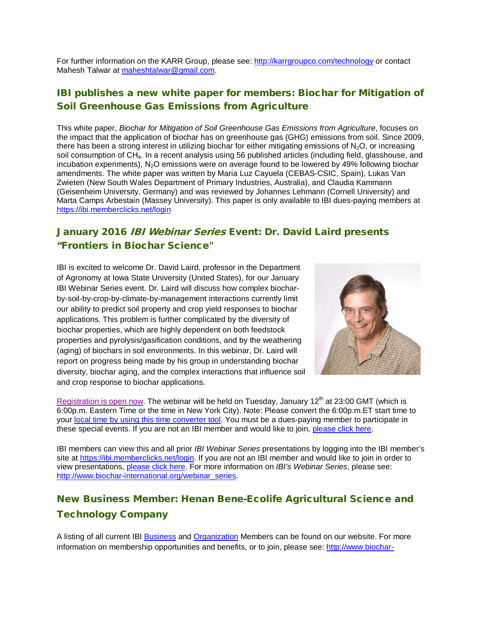For further information on the KARR Group, please see:<http://karrgroupco.com/technology> or contact Mahesh Talwar at [maheshtalwar@gmail.com.](mailto:maheshtalwar@gmail.com)

### IBI publishes a new white paper for members: Biochar for Mitigation of Soil Greenhouse Gas Emissions from Agriculture

This white paper, *Biochar for Mitigation of Soil Greenhouse Gas Emissions from Agriculture*, focuses on the impact that the application of biochar has on greenhouse gas (GHG) emissions from soil. Since 2009, there has been a strong interest in utilizing biochar for either mitigating emissions of  $N<sub>2</sub>O$ , or increasing soil consumption of CH<sub>4</sub>. In a recent analysis using 56 published articles (including field, glasshouse, and incubation experiments),  $N<sub>2</sub>O$  emissions were on average found to be lowered by 49% following biochar amendments. The white paper was written by Maria Luz Cayuela (CEBAS-CSIC, Spain), Lukas Van Zwieten (New South Wales Department of Primary Industries, Australia), and Claudia Kammann (Geisenheim University, Germany) and was reviewed by Johannes Lehmann (Cornell University) and Marta Camps Arbestain (Massey University). This paper is only available to IBI dues-paying members at <https://ibi.memberclicks.net/login>

## January 2016 IBI Webinar Series Event: Dr. David Laird presents "Frontiers in Biochar Science"

IBI is excited to welcome Dr. David Laird, professor in the Department of Agronomy at Iowa State University (United States), for our January IBI Webinar Series event. Dr. Laird will discuss how complex biocharby-soil-by-crop-by-climate-by-management interactions currently limit our ability to predict soil property and crop yield responses to biochar applications. This problem is further complicated by the diversity of biochar properties, which are highly dependent on both feedstock properties and pyrolysis/gasification conditions, and by the weathering (aging) of biochars in soil environments. In this webinar, Dr. Laird will report on progress being made by his group in understanding biochar diversity, biochar aging, and the complex interactions that influence soil and crop response to biochar applications.



[Registration is open now.](https://attendee.gotowebinar.com/register/185902498770477826) The webinar will be held on Tuesday, January  $12<sup>th</sup>$  at 23:00 GMT (which is 6:00p.m. Eastern Time or the time in New York City). Note: Please convert the 6:00p.m.ET start time to your [local time by using this time converter tool.](http://www.timeanddate.com/worldclock/converter.html) You must be a dues-paying member to participate in these special events. If you are not an IBI member and would like to join, [please click here.](http://www.biochar-international.org/join)

IBI members can view this and all prior *IBI Webinar Series* presentations by logging into the IBI member's site at [https://ibi.memberclicks.net/login.](https://ibi.memberclicks.net/login) If you are not an IBI member and would like to join in order to view presentations, [please click here.](http://www.biochar-international.org/join) For more information on *IBI's Webinar Series*, please see: [http://www.biochar-international.org/webinar\\_series.](http://www.biochar-international.org/webinar_series)

# New Business Member: Henan Bene-Ecolife Agricultural Science and Technology Company

A listing of all current IBI [Business](http://ibi.memberclicks.net/message/urlRedir?id=61092&recip=2037fe9e-203a-4b7f-af3c-ac8774c71cbd) and [Organization](http://ibi.memberclicks.net/message/urlRedir?id=61093&recip=2037fe9e-203a-4b7f-af3c-ac8774c71cbd) Members can be found on our website. For more information on membership opportunities and benefits, or to join, please see: [http://www.biochar-](http://ibi.memberclicks.net/message/urlRedir?id=61094&recip=2037fe9e-203a-4b7f-af3c-ac8774c71cbd)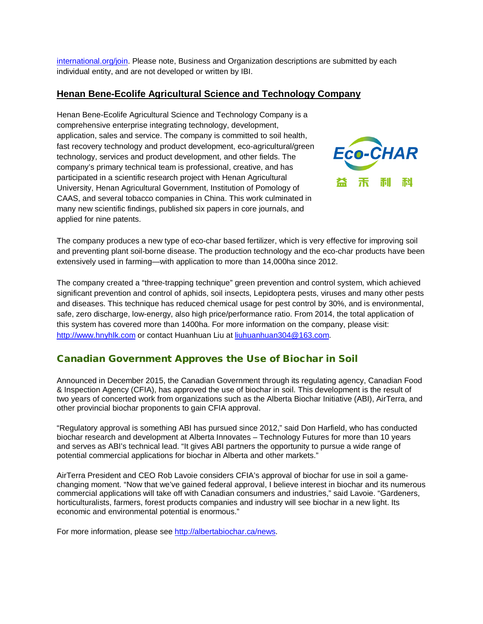[international.org/join.](http://ibi.memberclicks.net/message/urlRedir?id=61094&recip=2037fe9e-203a-4b7f-af3c-ac8774c71cbd) Please note, Business and Organization descriptions are submitted by each individual entity, and are not developed or written by IBI.

#### **Henan Bene-Ecolife Agricultural Science and Technology Company**

Henan Bene-Ecolife Agricultural Science and Technology Company is a comprehensive enterprise integrating technology, development, application, sales and service. The company is committed to soil health, fast recovery technology and product development, eco-agricultural/green technology, services and product development, and other fields. The company's primary technical team is professional, creative, and has participated in a scientific research project with Henan Agricultural University, Henan Agricultural Government, Institution of Pomology of CAAS, and several tobacco companies in China. This work culminated in many new scientific findings, published six papers in core journals, and applied for nine patents.



The company produces a new type of eco-char based fertilizer, which is very effective for improving soil and preventing plant soil-borne disease. The production technology and the eco-char products have been extensively used in farming—with application to more than 14,000ha since 2012.

The company created a "three-trapping technique" green prevention and control system, which achieved significant prevention and control of aphids, soil insects, Lepidoptera pests, viruses and many other pests and diseases. This technique has reduced chemical usage for pest control by 30%, and is environmental, safe, zero discharge, low-energy, also high price/performance ratio. From 2014, the total application of this system has covered more than 1400ha. For more information on the company, please visit: [http://www.hnyhlk.com](http://www.hnyhlk.com/) or contact Huanhuan Liu a[t liuhuanhuan304@163.com.](mailto:liuhuanhuan304@163.com)

### Canadian Government Approves the Use of Biochar in Soil

Announced in December 2015, the Canadian Government through its regulating agency, Canadian Food & Inspection Agency (CFIA), has approved the use of biochar in soil. This development is the result of two years of concerted work from organizations such as the Alberta Biochar Initiative (ABI), AirTerra, and other provincial biochar proponents to gain CFIA approval.

"Regulatory approval is something ABI has pursued since 2012," said Don Harfield, who has conducted biochar research and development at Alberta Innovates – Technology Futures for more than 10 years and serves as ABI's technical lead. "It gives ABI partners the opportunity to pursue a wide range of potential commercial applications for biochar in Alberta and other markets."

AirTerra President and CEO Rob Lavoie considers CFIA's approval of biochar for use in soil a gamechanging moment. "Now that we've gained federal approval, I believe interest in biochar and its numerous commercial applications will take off with Canadian consumers and industries," said Lavoie. "Gardeners, horticulturalists, farmers, forest products companies and industry will see biochar in a new light. Its economic and environmental potential is enormous."

For more information, please see [http://albertabiochar.ca/news.](http://albertabiochar.ca/news)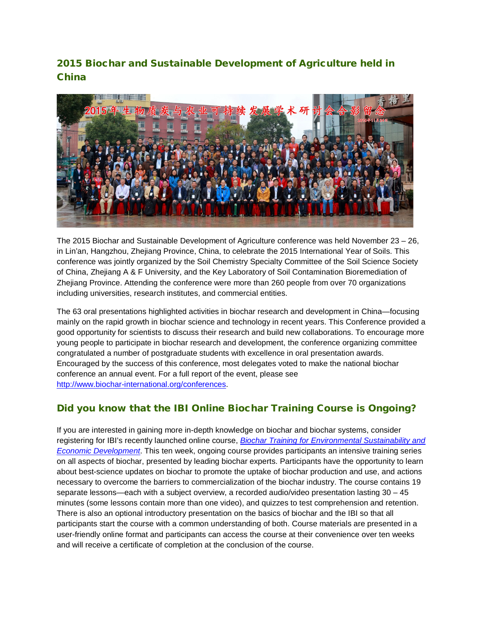## 2015 Biochar and Sustainable Development of Agriculture held in China



The 2015 Biochar and Sustainable Development of Agriculture conference was held November 23 – 26, in Lin'an, Hangzhou, Zhejiang Province, China, to celebrate the 2015 International Year of Soils. This conference was jointly organized by the Soil Chemistry Specialty Committee of the Soil Science Society of China, Zhejiang A & F University, and the Key Laboratory of Soil Contamination Bioremediation of Zhejiang Province. Attending the conference were more than 260 people from over 70 organizations including universities, research institutes, and commercial entities.

The 63 oral presentations highlighted activities in biochar research and development in China—focusing mainly on the rapid growth in biochar science and technology in recent years. This Conference provided a good opportunity for scientists to discuss their research and build new collaborations. To encourage more young people to participate in biochar research and development, the conference organizing committee congratulated a number of postgraduate students with excellence in oral presentation awards. Encouraged by the success of this conference, most delegates voted to make the national biochar conference an annual event. For a full report of the event, please see [http://www.biochar-international.org/conferences.](http://www.biochar-international.org/conferences)

### Did you know that the IBI Online Biochar Training Course is Ongoing?

If you are interested in gaining more in-depth knowledge on biochar and biochar systems, consider registering for IBI's recently launched online course, *[Biochar Training for Environmental Sustainability and](http://www.biochar-international.org/online_course)  [Economic Development](http://www.biochar-international.org/online_course)*. This ten week, ongoing course provides participants an intensive training series on all aspects of biochar, presented by leading biochar experts. Participants have the opportunity to learn about best-science updates on biochar to promote the uptake of biochar production and use, and actions necessary to overcome the barriers to commercialization of the biochar industry. The course contains 19 separate lessons—each with a subject overview, a recorded audio/video presentation lasting 30 – 45 minutes (some lessons contain more than one video), and quizzes to test comprehension and retention. There is also an optional introductory presentation on the basics of biochar and the IBI so that all participants start the course with a common understanding of both. Course materials are presented in a user-friendly online format and participants can access the course at their convenience over ten weeks and will receive a certificate of completion at the conclusion of the course.